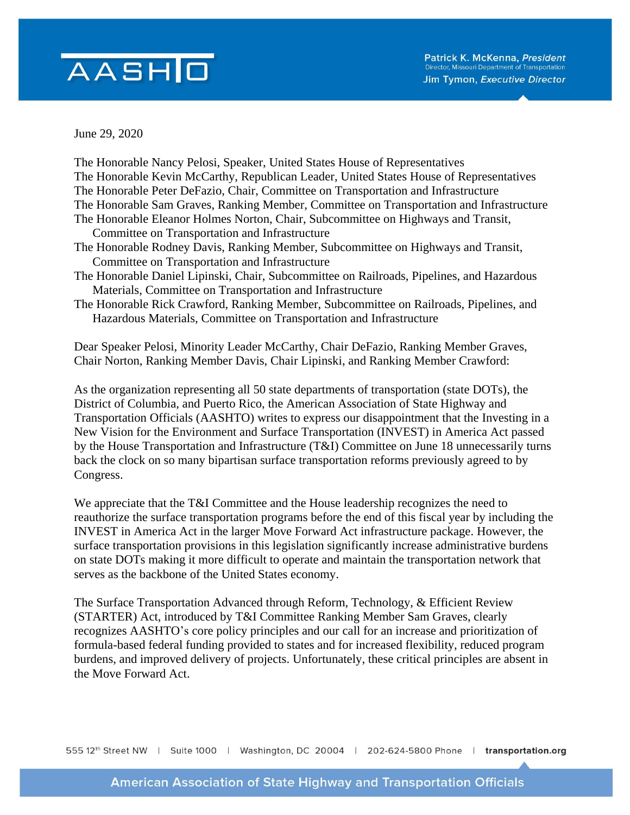## AASHO

June 29, 2020

We appreciate that the T&I Committee and the House leadership recognizes the need to reauthorize the surface transportation programs before the end of this fiscal year by including the INVEST in America Act in the larger Move Forward Act infrastructure package. However, the surface transportation provisions in this legislation significantly increase administrative burdens on state DOTs making it more difficult to operate and maintain the transportation network that serves as the backbone of the United States economy.

The Surface Transportation Advanced through Reform, Technology, & Efficient Review (STARTER) Act, introduced by T&I Committee Ranking Member Sam Graves, clearly recognizes AASHTO's core policy principles and our call for an increase and prioritization of formula-based federal funding provided to states and for increased flexibility, reduced program burdens, and improved delivery of projects. Unfortunately, these critical principles are absent in the Move Forward Act.

555 12th Street NW | Suite 1000 | Washington, DC 20004 | 202-624-5800 Phone | transportation.org